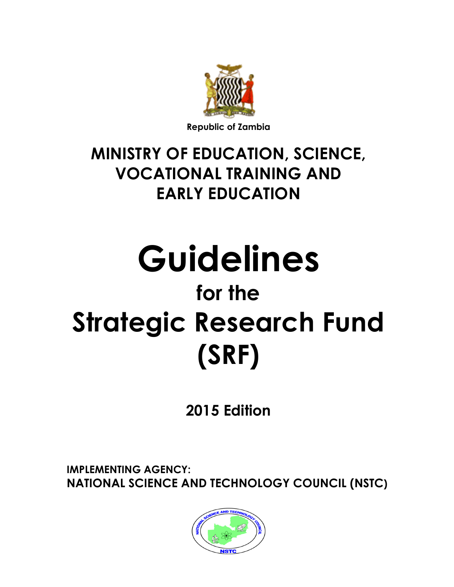

## MINISTRY OF EDUCATION, SCIENCE, VOCATIONAL TRAINING AND EARLY EDUCATION

# Guidelines for the Strategic Research Fund (SRF)

2015 Edition

IMPLEMENTING AGENCY: NATIONAL SCIENCE AND TECHNOLOGY COUNCIL (NSTC)

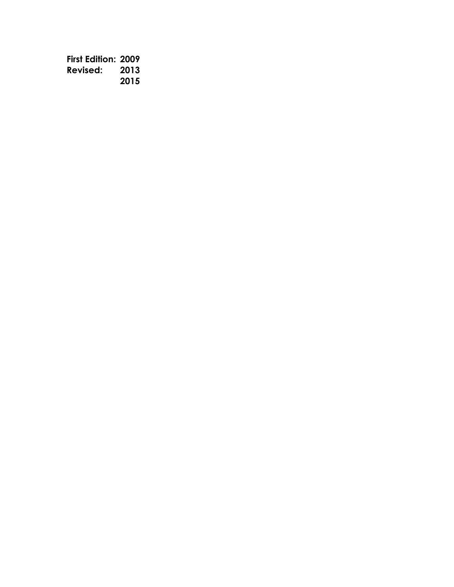First Edition: 2009 Revised: 2013 2015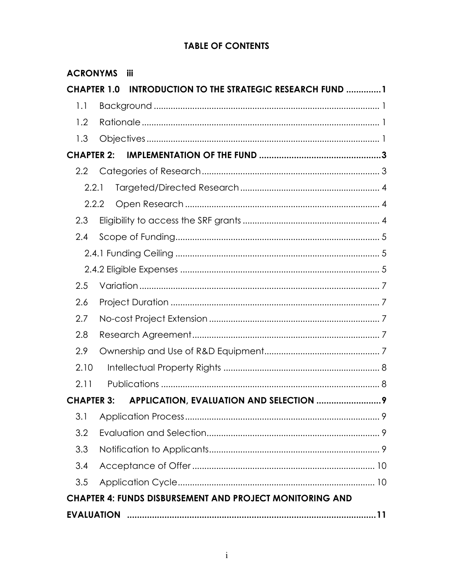## **TABLE OF CONTENTS**

| <b>ACRONYMS</b>    | <b>iii</b>                                                      |
|--------------------|-----------------------------------------------------------------|
| <b>CHAPTER 1.0</b> | <b>INTRODUCTION TO THE STRATEGIC RESEARCH FUND 1</b>            |
| 1.1                |                                                                 |
| 1.2                |                                                                 |
| 1.3                |                                                                 |
| <b>CHAPTER 2:</b>  |                                                                 |
| 2.2                |                                                                 |
| 2.2.1              |                                                                 |
| 2.2.2              |                                                                 |
| 2.3                |                                                                 |
| 2.4                |                                                                 |
|                    |                                                                 |
|                    |                                                                 |
| 2.5                |                                                                 |
| 2.6                |                                                                 |
| 2.7                |                                                                 |
| 2.8                |                                                                 |
| 2.9                |                                                                 |
| 2.10               |                                                                 |
| 2.11               |                                                                 |
| <b>CHAPTER 3:</b>  |                                                                 |
| 3.1                |                                                                 |
| 3.2                |                                                                 |
| 3.3                |                                                                 |
| 3.4                |                                                                 |
| 3.5                |                                                                 |
|                    | <b>CHAPTER 4: FUNDS DISBURSEMENT AND PROJECT MONITORING AND</b> |
|                    |                                                                 |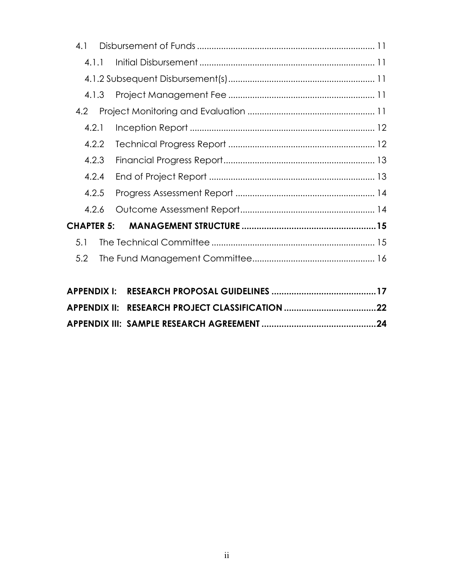| 4.1   |  |
|-------|--|
| 4.1.1 |  |
|       |  |
|       |  |
| 4.2   |  |
| 4.2.1 |  |
| 4.2.2 |  |
| 4.2.3 |  |
| 4.2.4 |  |
| 4.2.5 |  |
| 4.2.6 |  |
|       |  |
| 5.1   |  |
| 5.2   |  |
|       |  |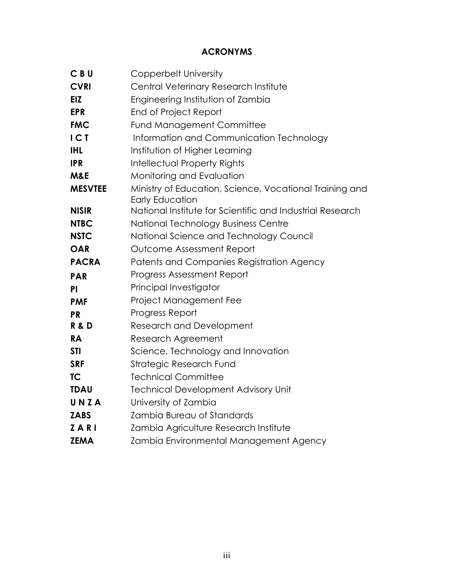## ACRONYMS

| CBU            | Copperbelt University                                                             |
|----------------|-----------------------------------------------------------------------------------|
| <b>CVRI</b>    | Central Veterinary Research Institute                                             |
| EIZ            | Engineering Institution of Zambia                                                 |
| <b>EPR</b>     | End of Project Report                                                             |
| <b>FMC</b>     | <b>Fund Management Committee</b>                                                  |
| ICI            | Information and Communication Technology                                          |
| <b>IHL</b>     | Institution of Higher Learning                                                    |
| <b>IPR</b>     | <b>Intellectual Property Rights</b>                                               |
| M&E            | Monitoring and Evaluation                                                         |
| <b>MESVTEE</b> | Ministry of Education, Science, Vocational Training and<br><b>Early Education</b> |
| <b>NISIR</b>   | National Institute for Scientific and Industrial Research                         |
| <b>NTBC</b>    | National Technology Business Centre                                               |
| <b>NSTC</b>    | National Science and Technology Council                                           |
| <b>OAR</b>     | Outcome Assessment Report                                                         |
| <b>PACRA</b>   | Patents and Companies Registration Agency                                         |
| <b>PAR</b>     | <b>Progress Assessment Report</b>                                                 |
| PI             | Principal Investigator                                                            |
| <b>PMF</b>     | Project Management Fee                                                            |
| <b>PR</b>      | Progress Report                                                                   |
| R&D            | <b>Research and Development</b>                                                   |
| <b>RA</b>      | <b>Research Agreement</b>                                                         |
| <b>STI</b>     | Science, Technology and Innovation                                                |
| <b>SRF</b>     | Strategic Research Fund                                                           |
| <b>TC</b>      | <b>Technical Committee</b>                                                        |
| <b>TDAU</b>    | <b>Technical Development Advisory Unit</b>                                        |
| UNZA           | University of Zambia                                                              |
| <b>ZABS</b>    | Zambia Bureau of Standards                                                        |
| ZARI           | Zambia Agriculture Research Institute                                             |
| <b>ZEMA</b>    | Zambia Environmental Management Agency                                            |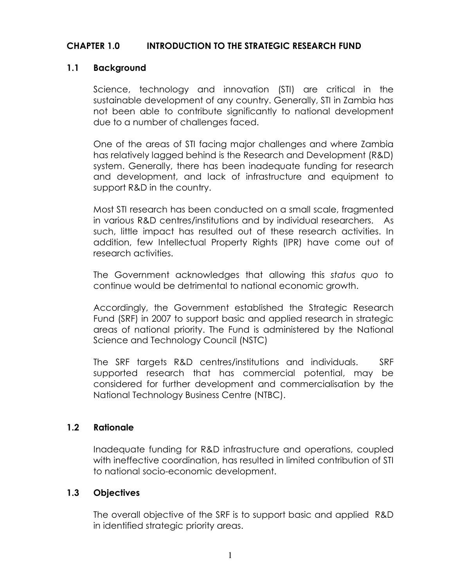#### CHAPTER 1.0 INTRODUCTION TO THE STRATEGIC RESEARCH FUND

#### 1.1 Background

Science, technology and innovation (STI) are critical in the sustainable development of any country. Generally, STI in Zambia has not been able to contribute significantly to national development due to a number of challenges faced.

One of the areas of STI facing major challenges and where Zambia has relatively lagged behind is the Research and Development (R&D) system. Generally, there has been inadequate funding for research and development, and lack of infrastructure and equipment to support R&D in the country.

Most STI research has been conducted on a small scale, fragmented in various R&D centres/institutions and by individual researchers. As such, little impact has resulted out of these research activities. In addition, few Intellectual Property Rights (IPR) have come out of research activities.

The Government acknowledges that allowing this status quo to continue would be detrimental to national economic growth.

Accordingly, the Government established the Strategic Research Fund (SRF) in 2007 to support basic and applied research in strategic areas of national priority. The Fund is administered by the National Science and Technology Council (NSTC)

The SRF targets R&D centres/institutions and individuals. SRF supported research that has commercial potential, may be considered for further development and commercialisation by the National Technology Business Centre (NTBC).

#### 1.2 Rationale

Inadequate funding for R&D infrastructure and operations, coupled with ineffective coordination, has resulted in limited contribution of STI to national socio-economic development.

#### 1.3 Objectives

The overall objective of the SRF is to support basic and applied R&D in identified strategic priority areas.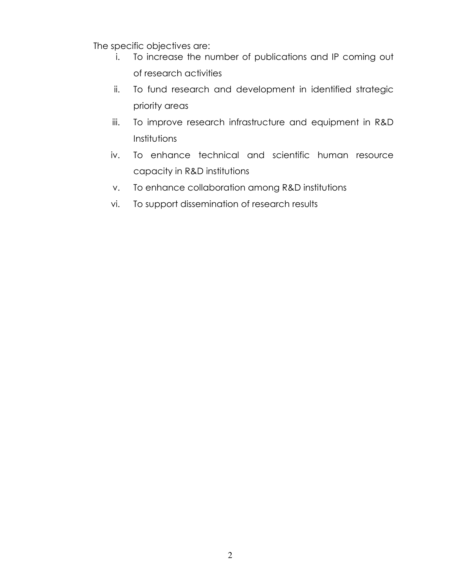The specific objectives are:

- i. To increase the number of publications and IP coming out of research activities
- ii. To fund research and development in identified strategic priority areas
- iii. To improve research infrastructure and equipment in R&D Institutions
- iv. To enhance technical and scientific human resource capacity in R&D institutions
- v. To enhance collaboration among R&D institutions
- vi. To support dissemination of research results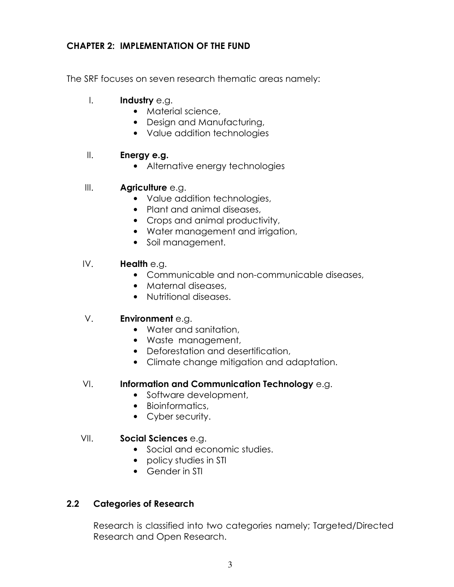#### CHAPTER 2: IMPLEMENTATION OF THE FUND

The SRF focuses on seven research thematic areas namely:

- I. **Industry** e.g.
	- Material science,
	- Design and Manufacturing,
	- Value addition technologies

#### II. **Energy e.g.**

- Alternative energy technologies
- III. **Agriculture e.g.** 
	- Value addition technologies,
	- Plant and animal diseases,
	- Crops and animal productivity,
	- Water management and irrigation,
	- Soil management.

#### IV. Health e.g.

- Communicable and non-communicable diseases,
- Maternal diseases,
- Nutritional diseases.

#### V. **Environment** e.g.

- Water and sanitation,
- Waste management,
- Deforestation and desertification,
- Climate change mitigation and adaptation.

#### VI. Information and Communication Technology e.g.

- Software development,
- Bioinformatics,
- Cyber security.

#### VII. Social Sciences e.g.

- Social and economic studies.
- policy studies in STI
- Gender in STI

#### 2.2 Categories of Research

Research is classified into two categories namely; Targeted/Directed Research and Open Research.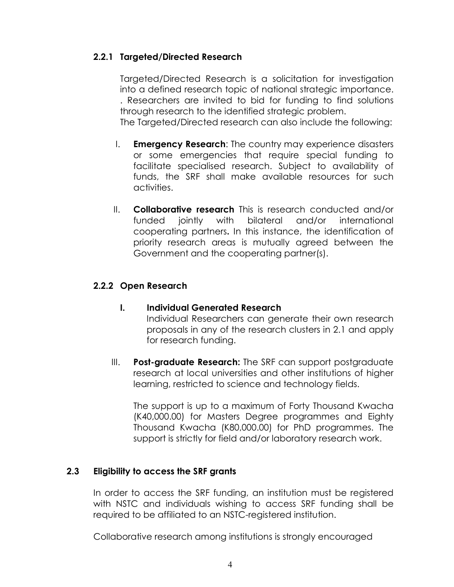#### 2.2.1 Targeted/Directed Research

Targeted/Directed Research is a solicitation for investigation into a defined research topic of national strategic importance. . Researchers are invited to bid for funding to find solutions through research to the identified strategic problem. The Targeted/Directed research can also include the following:

- I. **Emergency Research:** The country may experience disasters or some emergencies that require special funding to facilitate specialised research. Subject to availability of funds, the SRF shall make available resources for such activities.
- II. Collaborative research This is research conducted and/or funded jointly with bilateral and/or international cooperating partners. In this instance, the identification of priority research areas is mutually agreed between the Government and the cooperating partner(s).

#### 2.2.2 Open Research

- I. Individual Generated Research Individual Researchers can generate their own research proposals in any of the research clusters in 2.1 and apply for research funding.
- III. Post-graduate Research: The SRF can support postgraduate research at local universities and other institutions of higher learning, restricted to science and technology fields.

The support is up to a maximum of Forty Thousand Kwacha (K40,000.00) for Masters Degree programmes and Eighty Thousand Kwacha (K80,000.00) for PhD programmes. The support is strictly for field and/or laboratory research work.

#### 2.3 Eligibility to access the SRF grants

In order to access the SRF funding, an institution must be registered with NSTC and individuals wishing to access SRF funding shall be required to be affiliated to an NSTC-registered institution.

Collaborative research among institutions is strongly encouraged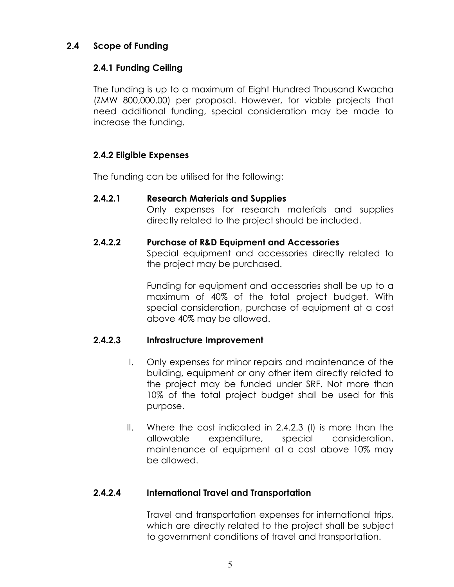#### 2.4 Scope of Funding

#### 2.4.1 Funding Ceiling

The funding is up to a maximum of Eight Hundred Thousand Kwacha (ZMW 800,000.00) per proposal. However, for viable projects that need additional funding, special consideration may be made to increase the funding.

#### 2.4.2 Eligible Expenses

The funding can be utilised for the following:

#### 2.4.2.1 Research Materials and Supplies

Only expenses for research materials and supplies directly related to the project should be included.

#### 2.4.2.2 Purchase of R&D Equipment and Accessories

Special equipment and accessories directly related to the project may be purchased.

Funding for equipment and accessories shall be up to a maximum of 40% of the total project budget. With special consideration, purchase of equipment at a cost above 40% may be allowed.

#### 2.4.2.3 Infrastructure Improvement

- I. Only expenses for minor repairs and maintenance of the building, equipment or any other item directly related to the project may be funded under SRF. Not more than 10% of the total project budget shall be used for this purpose.
- II. Where the cost indicated in 2.4.2.3 (I) is more than the allowable expenditure, special consideration, maintenance of equipment at a cost above 10% may be allowed.

#### 2.4.2.4 International Travel and Transportation

Travel and transportation expenses for international trips, which are directly related to the project shall be subject to government conditions of travel and transportation.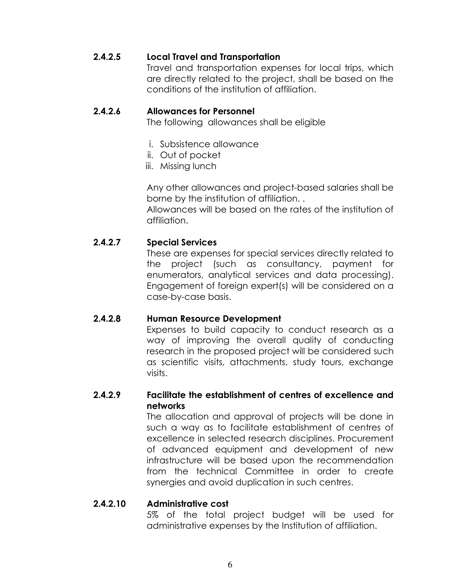#### 2.4.2.5 Local Travel and Transportation

Travel and transportation expenses for local trips, which are directly related to the project, shall be based on the conditions of the institution of affiliation.

#### 2.4.2.6 Allowances for Personnel

The following allowances shall be eligible

- i. Subsistence allowance
- ii. Out of pocket
- iii. Missing lunch

Any other allowances and project-based salaries shall be borne by the institution of affiliation. .

Allowances will be based on the rates of the institution of affiliation.

#### 2.4.2.7 Special Services

These are expenses for special services directly related to the project (such as consultancy, payment for enumerators, analytical services and data processing). Engagement of foreign expert(s) will be considered on a case-by-case basis.

#### 2.4.2.8 Human Resource Development

Expenses to build capacity to conduct research as a way of improving the overall quality of conducting research in the proposed project will be considered such as scientific visits, attachments, study tours, exchange visits.

#### 2.4.2.9 Facilitate the establishment of centres of excellence and networks

The allocation and approval of projects will be done in such a way as to facilitate establishment of centres of excellence in selected research disciplines. Procurement of advanced equipment and development of new infrastructure will be based upon the recommendation from the technical Committee in order to create synergies and avoid duplication in such centres.

#### 2.4.2.10 Administrative cost

5% of the total project budget will be used for administrative expenses by the Institution of affiliation.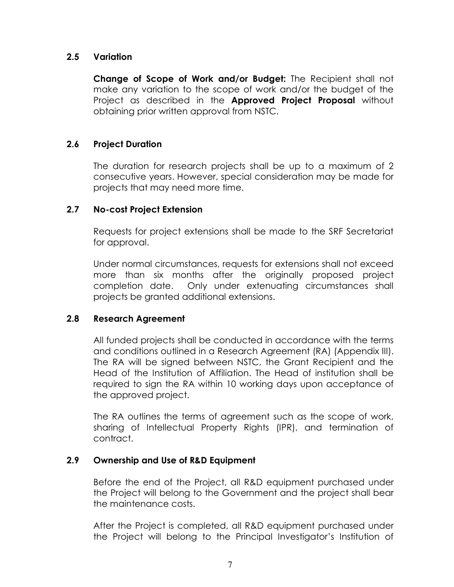#### 2.5 Variation

Change of Scope of Work and/or Budget: The Recipient shall not make any variation to the scope of work and/or the budget of the Project as described in the **Approved Project Proposal** without obtaining prior written approval from NSTC.

#### 2.6 Project Duration

The duration for research projects shall be up to a maximum of 2 consecutive years. However, special consideration may be made for projects that may need more time.

#### 2.7 No-cost Project Extension

Requests for project extensions shall be made to the SRF Secretariat for approval.

Under normal circumstances, requests for extensions shall not exceed more than six months after the originally proposed project completion date. Only under extenuating circumstances shall projects be granted additional extensions.

#### 2.8 Research Agreement

All funded projects shall be conducted in accordance with the terms and conditions outlined in a Research Agreement (RA) (Appendix III). The RA will be signed between NSTC, the Grant Recipient and the Head of the Institution of Affiliation. The Head of institution shall be required to sign the RA within 10 working days upon acceptance of the approved project.

The RA outlines the terms of agreement such as the scope of work, sharing of Intellectual Property Rights (IPR), and termination of contract.

#### 2.9 Ownership and Use of R&D Equipment

Before the end of the Project, all R&D equipment purchased under the Project will belong to the Government and the project shall bear the maintenance costs.

After the Project is completed, all R&D equipment purchased under the Project will belong to the Principal Investigator's Institution of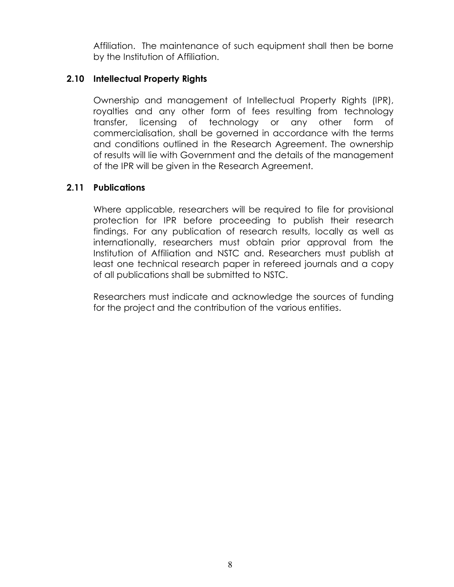Affiliation. The maintenance of such equipment shall then be borne by the Institution of Affiliation.

#### 2.10 Intellectual Property Rights

Ownership and management of Intellectual Property Rights (IPR), royalties and any other form of fees resulting from technology transfer, licensing of technology or any other form of commercialisation, shall be governed in accordance with the terms and conditions outlined in the Research Agreement. The ownership of results will lie with Government and the details of the management of the IPR will be given in the Research Agreement.

#### 2.11 Publications

Where applicable, researchers will be required to file for provisional protection for IPR before proceeding to publish their research findings. For any publication of research results, locally as well as internationally, researchers must obtain prior approval from the Institution of Affiliation and NSTC and. Researchers must publish at least one technical research paper in refereed journals and a copy of all publications shall be submitted to NSTC.

Researchers must indicate and acknowledge the sources of funding for the project and the contribution of the various entities.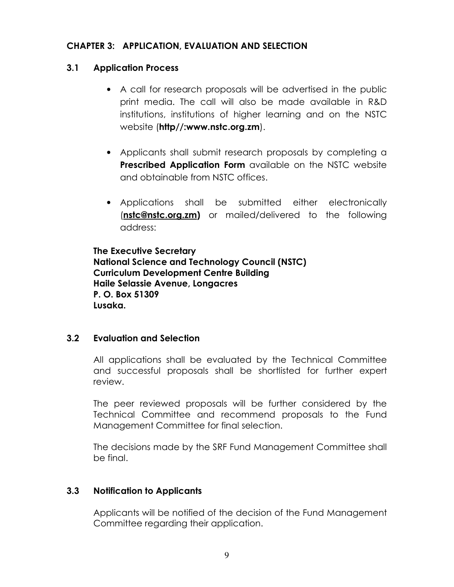#### CHAPTER 3: APPLICATION, EVALUATION AND SELECTION

#### 3.1 Application Process

- A call for research proposals will be advertised in the public print media. The call will also be made available in R&D institutions, institutions of higher learning and on the NSTC website (http//:www.nstc.org.zm).
- Applicants shall submit research proposals by completing a Prescribed Application Form available on the NSTC website and obtainable from NSTC offices.
- Applications shall be submitted either electronically (nstc@nstc.org.zm) or mailed/delivered to the following address:

The Executive Secretary National Science and Technology Council (NSTC) Curriculum Development Centre Building Haile Selassie Avenue, Longacres P. O. Box 51309 Lusaka.

#### 3.2 Evaluation and Selection

All applications shall be evaluated by the Technical Committee and successful proposals shall be shortlisted for further expert review.

The peer reviewed proposals will be further considered by the Technical Committee and recommend proposals to the Fund Management Committee for final selection.

The decisions made by the SRF Fund Management Committee shall be final.

#### 3.3 Notification to Applicants

Applicants will be notified of the decision of the Fund Management Committee regarding their application.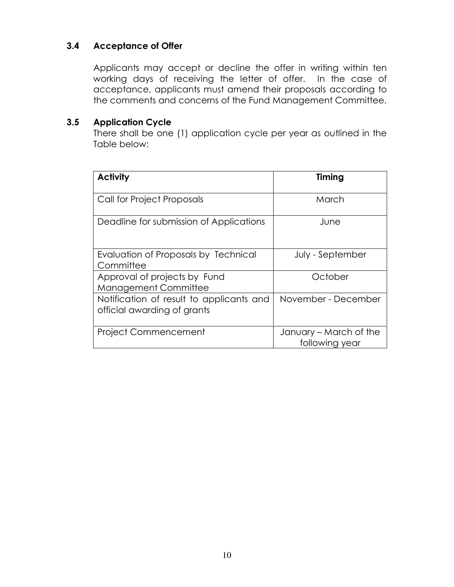#### 3.4 Acceptance of Offer

Applicants may accept or decline the offer in writing within ten working days of receiving the letter of offer. In the case of acceptance, applicants must amend their proposals according to the comments and concerns of the Fund Management Committee.

#### 3.5 Application Cycle

There shall be one (1) application cycle per year as outlined in the Table below:

| <b>Activity</b>                                                         | Timing                                   |
|-------------------------------------------------------------------------|------------------------------------------|
| Call for Project Proposals                                              | March                                    |
| Deadline for submission of Applications                                 | June                                     |
| Evaluation of Proposals by Technical<br>Committee                       | July - September                         |
| Approval of projects by Fund<br><b>Management Committee</b>             | October                                  |
| Notification of result to applicants and<br>official awarding of grants | November - December                      |
| <b>Project Commencement</b>                                             | January – March of the<br>following year |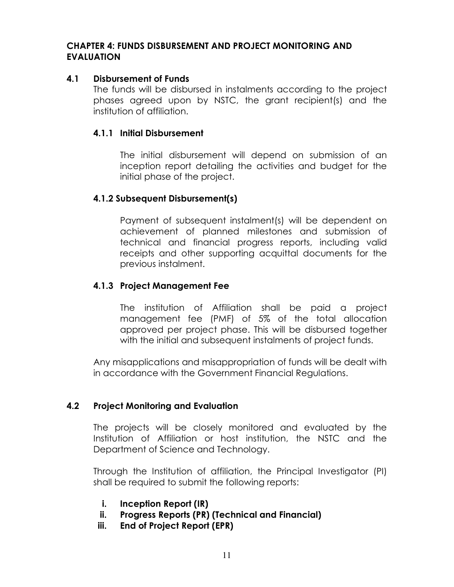#### CHAPTER 4: FUNDS DISBURSEMENT AND PROJECT MONITORING AND EVALUATION

#### 4.1 Disbursement of Funds

The funds will be disbursed in instalments according to the project phases agreed upon by NSTC, the grant recipient(s) and the institution of affiliation.

#### 4.1.1 Initial Disbursement

The initial disbursement will depend on submission of an inception report detailing the activities and budget for the initial phase of the project.

#### 4.1.2 Subsequent Disbursement(s)

Payment of subsequent instalment(s) will be dependent on achievement of planned milestones and submission of technical and financial progress reports, including valid receipts and other supporting acquittal documents for the previous instalment.

#### 4.1.3 Project Management Fee

The institution of Affiliation shall be paid a project management fee (PMF) of 5% of the total allocation approved per project phase. This will be disbursed together with the initial and subsequent instalments of project funds.

Any misapplications and misappropriation of funds will be dealt with in accordance with the Government Financial Regulations.

#### 4.2 Project Monitoring and Evaluation

The projects will be closely monitored and evaluated by the Institution of Affiliation or host institution, the NSTC and the Department of Science and Technology.

Through the Institution of affiliation, the Principal Investigator (PI) shall be required to submit the following reports:

- i. Inception Report (IR)
- ii. Progress Reports (PR) (Technical and Financial)
- iii. End of Project Report (EPR)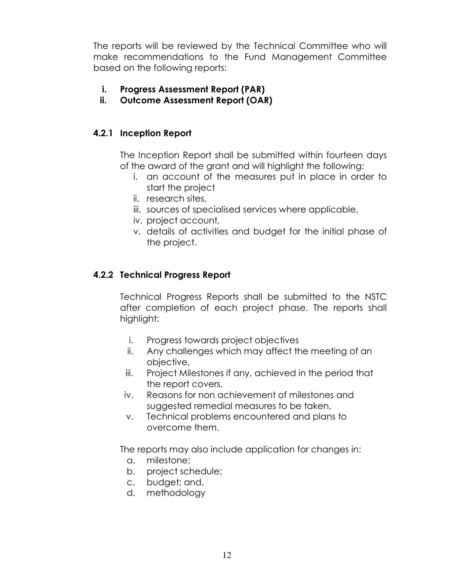The reports will be reviewed by the Technical Committee who will make recommendations to the Fund Management Committee based on the following reports:

- i. Progress Assessment Report (PAR)
- ii. Outcome Assessment Report (OAR)

#### 4.2.1 Inception Report

The Inception Report shall be submitted within fourteen days of the award of the grant and will highlight the following:

- i. an account of the measures put in place in order to start the project
- ii. research sites,
- iii. sources of specialised services where applicable,
- iv. project account,
- v. details of activities and budget for the initial phase of the project.

#### 4.2.2 Technical Progress Report

Technical Progress Reports shall be submitted to the NSTC after completion of each project phase. The reports shall highlight:

- i. Progress towards project objectives
- ii. Any challenges which may affect the meeting of an objective,
- iii. Project Milestones if any, achieved in the period that the report covers,
- iv. Reasons for non achievement of milestones and suggested remedial measures to be taken,
- v. Technical problems encountered and plans to overcome them.

The reports may also include application for changes in:

- a. milestone;
- b. project schedule;
- c. budget; and,
- d. methodology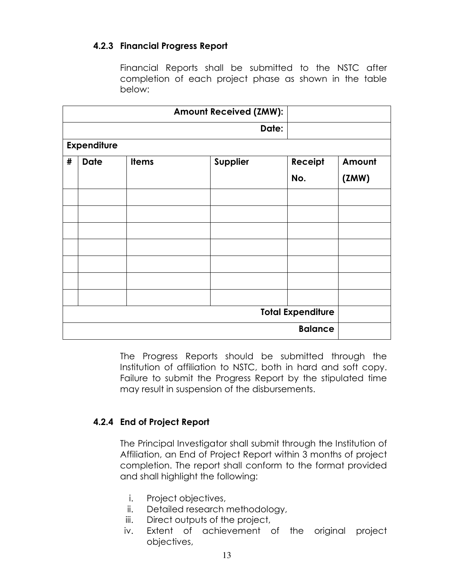#### 4.2.3 Financial Progress Report

Financial Reports shall be submitted to the NSTC after completion of each project phase as shown in the table below:

|   |                    |              | <b>Amount Received (ZMW):</b> |                          |        |
|---|--------------------|--------------|-------------------------------|--------------------------|--------|
|   |                    |              | Date:                         |                          |        |
|   | <b>Expenditure</b> |              |                               |                          |        |
| # | <b>Date</b>        | <b>Items</b> | Supplier                      | Receipt                  | Amount |
|   |                    |              |                               | No.                      | (2MW)  |
|   |                    |              |                               |                          |        |
|   |                    |              |                               |                          |        |
|   |                    |              |                               |                          |        |
|   |                    |              |                               |                          |        |
|   |                    |              |                               |                          |        |
|   |                    |              |                               |                          |        |
|   |                    |              |                               |                          |        |
|   |                    |              |                               | <b>Total Expenditure</b> |        |
|   |                    |              |                               | <b>Balance</b>           |        |

The Progress Reports should be submitted through the Institution of affiliation to NSTC, both in hard and soft copy. Failure to submit the Progress Report by the stipulated time may result in suspension of the disbursements.

#### 4.2.4 End of Project Report

The Principal Investigator shall submit through the Institution of Affiliation, an End of Project Report within 3 months of project completion. The report shall conform to the format provided and shall highlight the following:

- i. Project objectives,
- ii. Detailed research methodology,
- iii. Direct outputs of the project,
- iv. Extent of achievement of the original project objectives,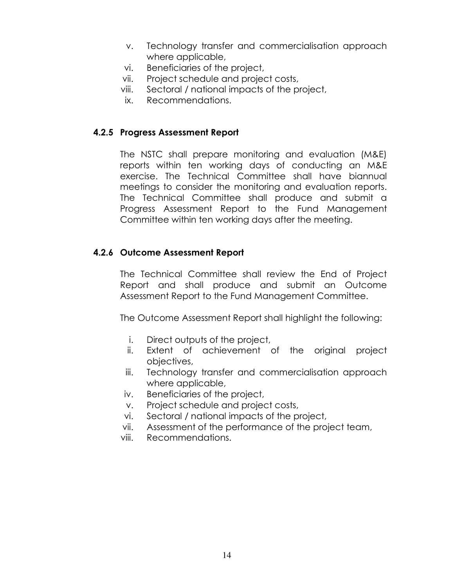- v. Technology transfer and commercialisation approach where applicable,
- vi. Beneficiaries of the project,
- vii. Project schedule and project costs,
- viii. Sectoral / national impacts of the project,
- ix. Recommendations.

#### 4.2.5 Progress Assessment Report

The NSTC shall prepare monitoring and evaluation (M&E) reports within ten working days of conducting an M&E exercise. The Technical Committee shall have biannual meetings to consider the monitoring and evaluation reports. The Technical Committee shall produce and submit a Progress Assessment Report to the Fund Management Committee within ten working days after the meeting.

#### 4.2.6 Outcome Assessment Report

The Technical Committee shall review the End of Project Report and shall produce and submit an Outcome Assessment Report to the Fund Management Committee.

The Outcome Assessment Report shall highlight the following:

- i. Direct outputs of the project,
- ii. Extent of achievement of the original project objectives,
- iii. Technology transfer and commercialisation approach where applicable,
- iv. Beneficiaries of the project,
- v. Project schedule and project costs,
- vi. Sectoral / national impacts of the project,
- vii. Assessment of the performance of the project team,
- viii. Recommendations.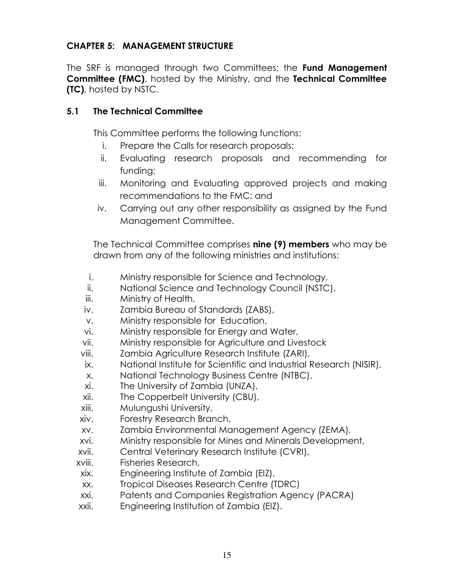#### CHAPTER 5: MANAGEMENT STRUCTURE

The SRF is managed through two Committees; the Fund Management Committee (FMC), hosted by the Ministry, and the Technical Committee (TC), hosted by NSTC.

#### 5.1 The Technical Committee

This Committee performs the following functions:

- i. Prepare the Calls for research proposals;
- ii. Evaluating research proposals and recommending for funding;
- iii. Monitoring and Evaluating approved projects and making recommendations to the FMC; and
- iv. Carrying out any other responsibility as assigned by the Fund Management Committee.

The Technical Committee comprises nine (9) members who may be drawn from any of the following ministries and institutions:

- i. Ministry responsible for Science and Technology,
- ii. National Science and Technology Council (NSTC),
- iii. Ministry of Health,
- iv. Zambia Bureau of Standards (ZABS),
- v. Ministry responsible for Education,
- vi. Ministry responsible for Energy and Water,
- vii. Ministry responsible for Agriculture and Livestock
- viii. Zambia Agriculture Research Institute (ZARI),
- ix. National Institute for Scientific and Industrial Research (NISIR),
- x. National Technology Business Centre (NTBC),
- xi. The University of Zambia (UNZA),
- xii. The Copperbelt University (CBU),
- xiii. Mulungushi University,
- xiv. Forestry Research Branch,
- xv. Zambia Environmental Management Agency (ZEMA),
- xvi. Ministry responsible for Mines and Minerals Development,
- xvii. Central Veterinary Research Institute (CVRI),
- xviii. Fisheries Research,
- xix. Engineering Institute of Zambia (EIZ),
- xx. Tropical Diseases Research Centre (TDRC)
- xxi. Patents and Companies Registration Agency (PACRA)
- xxii. Engineering Institution of Zambia (EIZ).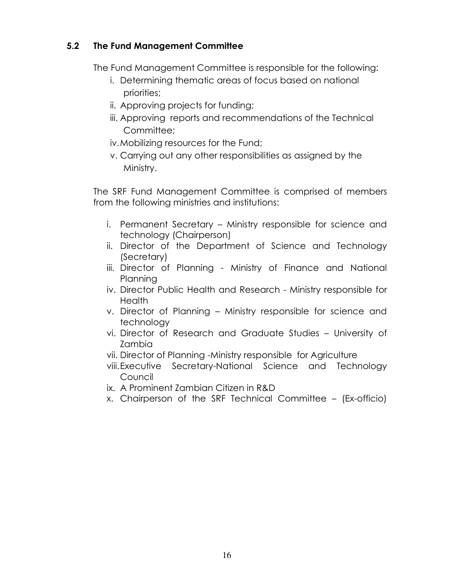#### 5.2 The Fund Management Committee

The Fund Management Committee is responsible for the following:

- i. Determining thematic areas of focus based on national priorities;
- ii. Approving projects for funding;
- iii. Approving reports and recommendations of the Technical Committee:
- iv.Mobilizing resources for the Fund;
- v. Carrying out any other responsibilities as assigned by the Ministry.

The SRF Fund Management Committee is comprised of members from the following ministries and institutions:

- i. Permanent Secretary Ministry responsible for science and technology (Chairperson)
- ii. Director of the Department of Science and Technology (Secretary)
- iii. Director of Planning Ministry of Finance and National Planning
- iv. Director Public Health and Research Ministry responsible for **Health**
- v. Director of Planning Ministry responsible for science and technology
- vi. Director of Research and Graduate Studies University of Zambia
- vii. Director of Planning -Ministry responsible for Agriculture
- viii.Executive Secretary-National Science and Technology Council
- ix. A Prominent Zambian Citizen in R&D
- x. Chairperson of the SRF Technical Committee (Ex-officio)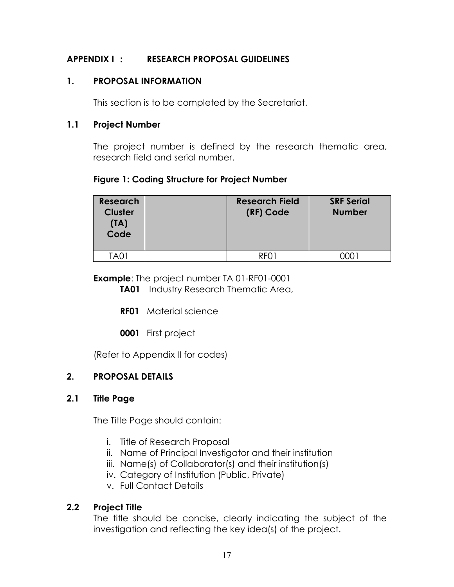#### APPENDIX I : RESEARCH PROPOSAL GUIDELINES

#### 1. PROPOSAL INFORMATION

This section is to be completed by the Secretariat.

#### 1.1 Project Number

The project number is defined by the research thematic area, research field and serial number.

#### Figure 1: Coding Structure for Project Number

| <b>Research</b><br><b>Cluster</b><br>(TA)<br>Code | <b>Research Field</b><br>(RF) Code | <b>SRF Serial</b><br><b>Number</b> |
|---------------------------------------------------|------------------------------------|------------------------------------|
| ΤΑΛ1                                              | RFN 1                              |                                    |

**Example:** The project number TA 01-RF01-0001

**TA01** Industry Research Thematic Area,

RF01 Material science

0001 First project

(Refer to Appendix II for codes)

#### 2. PROPOSAL DETAILS

#### 2.1 Title Page

The Title Page should contain:

- i. Title of Research Proposal
- ii. Name of Principal Investigator and their institution
- iii. Name(s) of Collaborator(s) and their institution(s)
- iv. Category of Institution (Public, Private)
- v. Full Contact Details

## 2.2 Project Title

The title should be concise, clearly indicating the subject of the investigation and reflecting the key idea(s) of the project.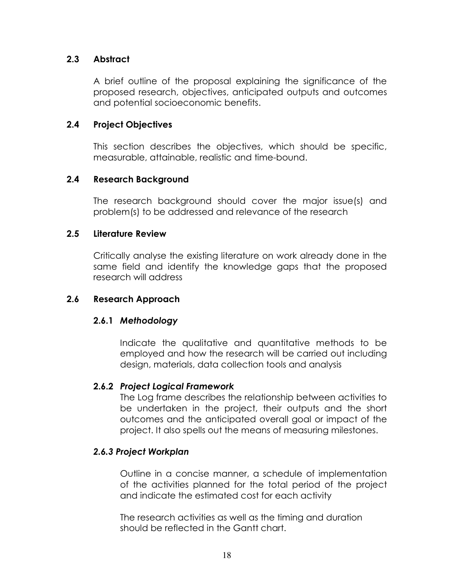#### 2.3 Abstract

A brief outline of the proposal explaining the significance of the proposed research, objectives, anticipated outputs and outcomes and potential socioeconomic benefits.

#### 2.4 Project Objectives

This section describes the objectives, which should be specific, measurable, attainable, realistic and time-bound.

#### 2.4 Research Background

The research background should cover the major issue(s) and problem(s) to be addressed and relevance of the research

#### 2.5 Literature Review

Critically analyse the existing literature on work already done in the same field and identify the knowledge gaps that the proposed research will address

#### 2.6 Research Approach

#### 2.6.1 Methodology

Indicate the qualitative and quantitative methods to be employed and how the research will be carried out including design, materials, data collection tools and analysis

#### 2.6.2 Project Logical Framework

The Log frame describes the relationship between activities to be undertaken in the project, their outputs and the short outcomes and the anticipated overall goal or impact of the project. It also spells out the means of measuring milestones.

#### 2.6.3 Project Workplan

Outline in a concise manner, a schedule of implementation of the activities planned for the total period of the project and indicate the estimated cost for each activity

The research activities as well as the timing and duration should be reflected in the Gantt chart.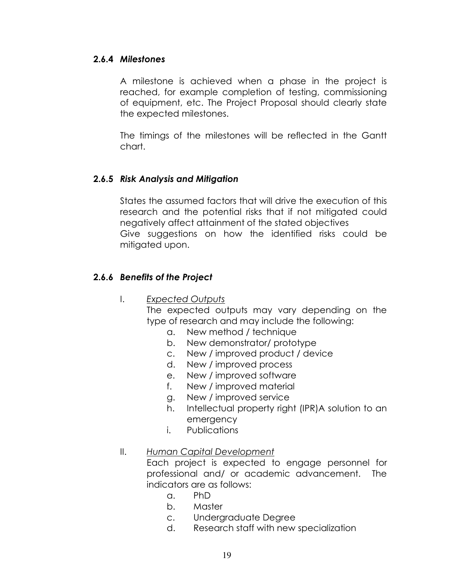#### 2.6.4 Milestones

A milestone is achieved when a phase in the project is reached, for example completion of testing, commissioning of equipment, etc. The Project Proposal should clearly state the expected milestones.

The timings of the milestones will be reflected in the Gantt chart.

#### 2.6.5 Risk Analysis and Mitigation

States the assumed factors that will drive the execution of this research and the potential risks that if not mitigated could negatively affect attainment of the stated objectives Give suggestions on how the identified risks could be mitigated upon.

#### 2.6.6 Benefits of the Project

#### I. Expected Outputs

The expected outputs may vary depending on the type of research and may include the following:

- a. New method / technique
- b. New demonstrator/ prototype
- c. New / improved product / device
- d. New / improved process
- e. New / improved software
- f. New / improved material
- g. New / improved service
- h. Intellectual property right (IPR)A solution to an emergency
- i. Publications

#### II. Human Capital Development

Each project is expected to engage personnel for professional and/ or academic advancement. The indicators are as follows:

- a. PhD
- b. Master
- c. Undergraduate Degree
- d. Research staff with new specialization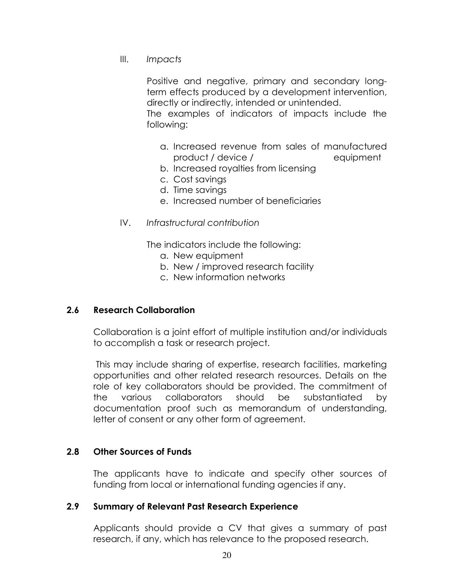III. Impacts

Positive and negative, primary and secondary longterm effects produced by a development intervention, directly or indirectly, intended or unintended.

The examples of indicators of impacts include the following:

- a. Increased revenue from sales of manufactured product / device / equipment
- b. Increased royalties from licensing
- c. Cost savings
- d. Time savings
- e. Increased number of beneficiaries
- IV. Infrastructural contribution

The indicators include the following:

- a. New equipment
- b. New / improved research facility
- c. New information networks

#### 2.6 Research Collaboration

Collaboration is a joint effort of multiple institution and/or individuals to accomplish a task or research project.

 This may include sharing of expertise, research facilities, marketing opportunities and other related research resources. Details on the role of key collaborators should be provided. The commitment of the various collaborators should be substantiated by documentation proof such as memorandum of understanding, letter of consent or any other form of agreement.

#### 2.8 Other Sources of Funds

The applicants have to indicate and specify other sources of funding from local or international funding agencies if any.

#### 2.9 Summary of Relevant Past Research Experience

Applicants should provide a CV that gives a summary of past research, if any, which has relevance to the proposed research.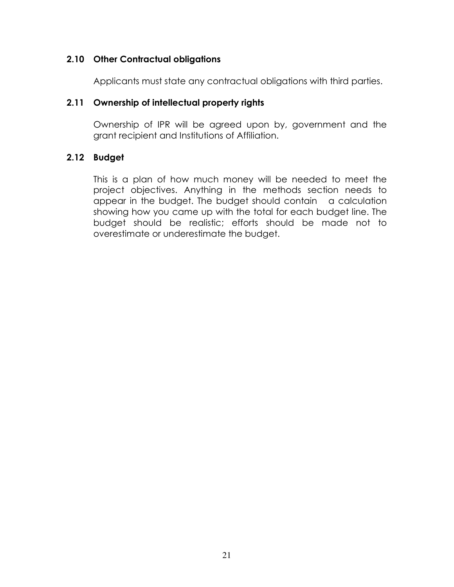#### 2.10 Other Contractual obligations

Applicants must state any contractual obligations with third parties.

#### 2.11 Ownership of intellectual property rights

Ownership of IPR will be agreed upon by, government and the grant recipient and Institutions of Affiliation.

#### 2.12 Budget

This is a plan of how much money will be needed to meet the project objectives. Anything in the methods section needs to appear in the budget. The budget should contain a calculation showing how you came up with the total for each budget line. The budget should be realistic; efforts should be made not to overestimate or underestimate the budget.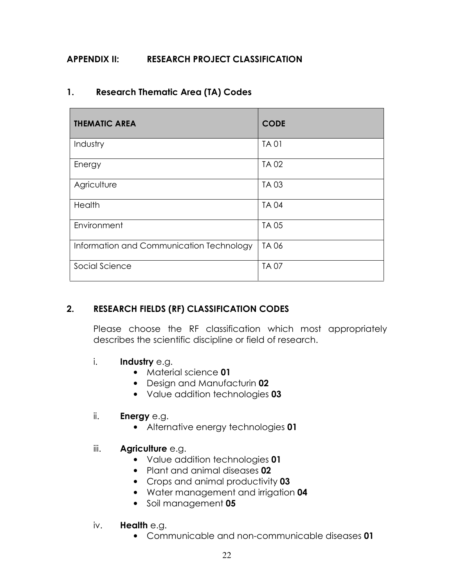#### APPENDIX II: RESEARCH PROJECT CLASSIFICATION

#### 1. Research Thematic Area (TA) Codes

| <b>THEMATIC AREA</b>                     | <b>CODE</b> |
|------------------------------------------|-------------|
| Industry                                 | <b>TA01</b> |
| Energy                                   | <b>TA02</b> |
| Agriculture                              | <b>TA03</b> |
| Health                                   | <b>TA04</b> |
| Environment                              | <b>TA05</b> |
| Information and Communication Technology | <b>TA06</b> |
| Social Science                           | <b>TA07</b> |

#### 2. RESEARCH FIELDS (RF) CLASSIFICATION CODES

Please choose the RF classification which most appropriately describes the scientific discipline or field of research.

#### i. Industry e.g.

- Material science 01
- Design and Manufacturin 02
- Value addition technologies 03

#### ii. **Energy** e.g.

• Alternative energy technologies 01

#### iii. **Agriculture** e.g.

- Value addition technologies 01
- Plant and animal diseases 02
- Crops and animal productivity 03
- Water management and irrigation 04
- Soil management 05

#### iv. Health e.g.

• Communicable and non-communicable diseases 01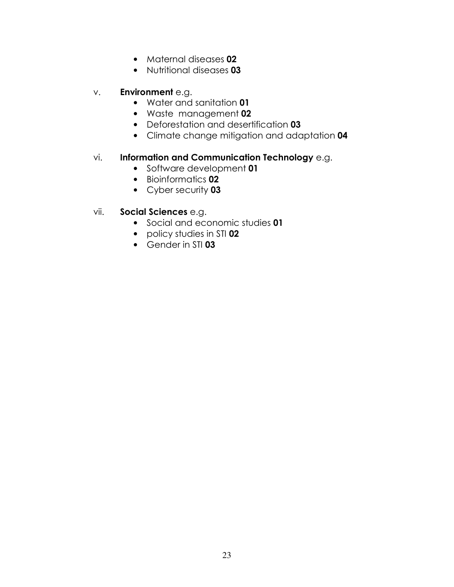- Maternal diseases 02
- Nutritional diseases 03

#### v. Environment e.g.

- Water and sanitation 01
- Waste management 02
- Deforestation and desertification 03
- Climate change mitigation and adaptation 04

#### vi. Information and Communication Technology e.g.

- Software development 01
- Bioinformatics 02
- Cyber security 03

#### vii. Social Sciences e.g.

- Social and economic studies 01
- policy studies in STI 02
- Gender in STI 03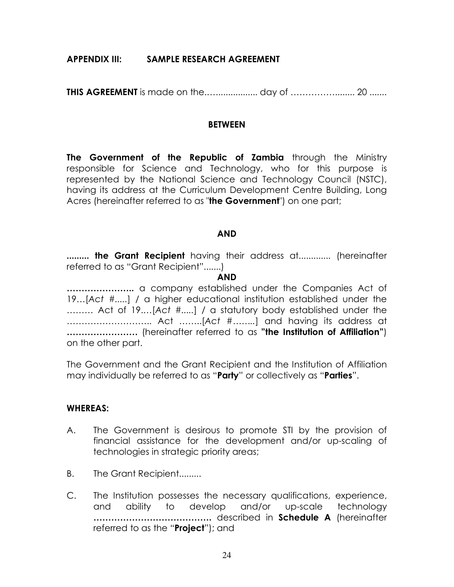#### APPENDIX III: SAMPLE RESEARCH AGREEMENT

THIS AGREEMENT is made on the.…................. day of ……………........ 20 .......

#### **BETWEEN**

The Government of the Republic of Zambia through the Ministry responsible for Science and Technology, who for this purpose is represented by the National Science and Technology Council (NSTC), having its address at the Curriculum Development Centre Building, Long Acres (hereinafter referred to as "the Government") on one part;

#### AND

......... **the Grant Recipient** having their address at............. (hereinafter referred to as "Grant Recipient".......)

#### AND

………………….. a company established under the Companies Act of 19…[Act #.....] / a higher educational institution established under the ……… Act of 19.…[Act #.....] / a statutory body established under the ……………………….. Act ……..[Act #……..] and having its address at ............................. (hereinafter referred to as "the Institution of Affiliation") on the other part.

The Government and the Grant Recipient and the Institution of Affiliation may individually be referred to as "Party" or collectively as "Parties".

#### WHEREAS:

- A. The Government is desirous to promote STI by the provision of financial assistance for the development and/or up-scaling of technologies in strategic priority areas;
- B. The Grant Recipient.........
- C. The Institution possesses the necessary qualifications, experience, and ability to develop and/or up-scale technology …………………………………. described in Schedule A (hereinafter referred to as the "**Project**"); and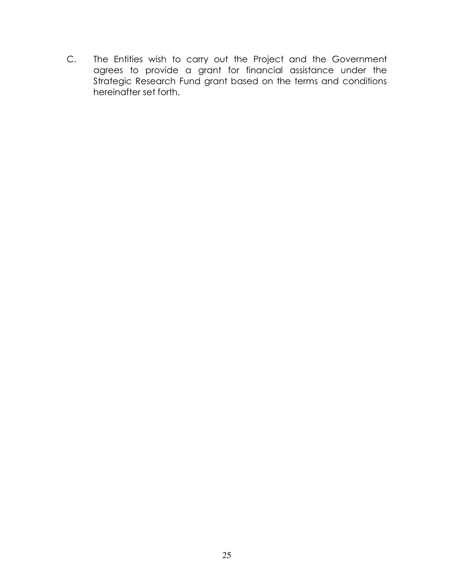C. The Entities wish to carry out the Project and the Government agrees to provide a grant for financial assistance under the Strategic Research Fund grant based on the terms and conditions hereinafter set forth.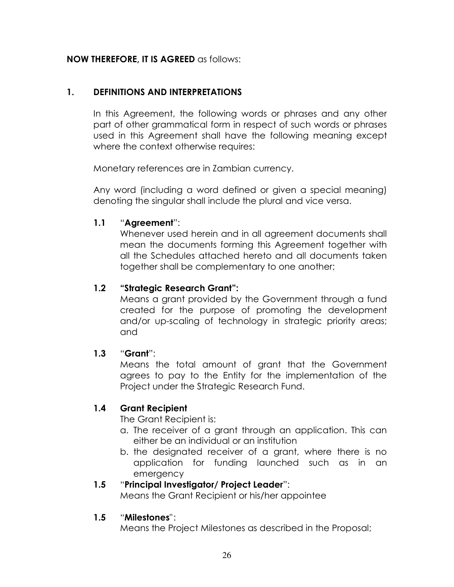#### NOW THEREFORE, IT IS AGREED as follows:

#### 1. DEFINITIONS AND INTERPRETATIONS

In this Agreement, the following words or phrases and any other part of other grammatical form in respect of such words or phrases used in this Agreement shall have the following meaning except where the context otherwise requires:

Monetary references are in Zambian currency.

Any word (including a word defined or given a special meaning) denoting the singular shall include the plural and vice versa.

#### 1.1 "Agreement":

Whenever used herein and in all agreement documents shall mean the documents forming this Agreement together with all the Schedules attached hereto and all documents taken together shall be complementary to one another;

#### 1.2 "Strategic Research Grant":

Means a grant provided by the Government through a fund created for the purpose of promoting the development and/or up-scaling of technology in strategic priority areas; and

#### 1.3 "Grant":

Means the total amount of grant that the Government agrees to pay to the Entity for the implementation of the Project under the Strategic Research Fund.

#### 1.4 Grant Recipient

The Grant Recipient is:

- a. The receiver of a grant through an application. This can either be an individual or an institution
- b. the designated receiver of a grant, where there is no application for funding launched such as in an emergency

#### 1.5 "Principal Investigator/ Project Leader":

Means the Grant Recipient or his/her appointee

#### 1.5 "Milestones" :

Means the Project Milestones as described in the Proposal;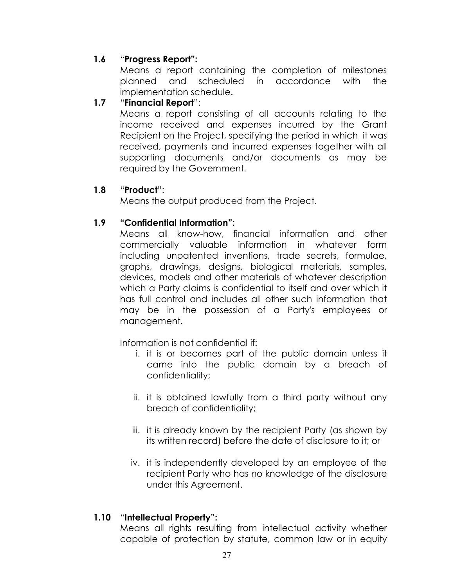#### 1.6 "Progress Report":

Means a report containing the completion of milestones planned and scheduled in accordance with the implementation schedule.

#### 1.7 "Financial Report":

 Means a report consisting of all accounts relating to the income received and expenses incurred by the Grant Recipient on the Project, specifying the period in which it was received, payments and incurred expenses together with all supporting documents and/or documents as may be required by the Government.

#### 1.8 "Product":

Means the output produced from the Project.

#### 1.9 "Confidential Information":

Means all know-how, financial information and other commercially valuable information in whatever form including unpatented inventions, trade secrets, formulae, graphs, drawings, designs, biological materials, samples, devices, models and other materials of whatever description which a Party claims is confidential to itself and over which it has full control and includes all other such information that may be in the possession of a Party's employees or management.

Information is not confidential if:

- i. it is or becomes part of the public domain unless it came into the public domain by a breach of confidentiality;
- ii. it is obtained lawfully from a third party without any breach of confidentiality;
- iii. it is already known by the recipient Party (as shown by its written record) before the date of disclosure to it; or
- iv. it is independently developed by an employee of the recipient Party who has no knowledge of the disclosure under this Agreement.

## 1.10 "Intellectual Property":

Means all rights resulting from intellectual activity whether capable of protection by statute, common law or in equity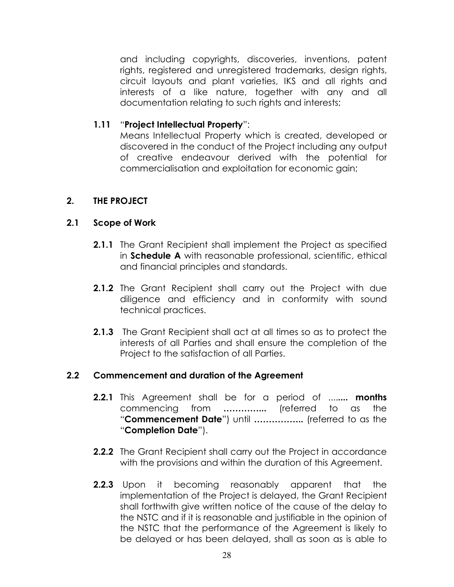and including copyrights, discoveries, inventions, patent rights, registered and unregistered trademarks, design rights, circuit layouts and plant varieties, IKS and all rights and interests of a like nature, together with any and all documentation relating to such rights and interests;

#### 1.11 "Project Intellectual Property":

Means Intellectual Property which is created, developed or discovered in the conduct of the Project including any output of creative endeavour derived with the potential for commercialisation and exploitation for economic gain;

#### 2. THE PROJECT

#### 2.1 Scope of Work

- 2.1.1 The Grant Recipient shall implement the Project as specified in **Schedule A** with reasonable professional, scientific, ethical and financial principles and standards.
- **2.1.2** The Grant Recipient shall carry out the Project with due diligence and efficiency and in conformity with sound technical practices.
- **2.1.3** The Grant Recipient shall act at all times so as to protect the interests of all Parties and shall ensure the completion of the Project to the satisfaction of all Parties.

#### 2.2 Commencement and duration of the Agreement

- **2.2.1** This Agreement shall be for a period of ........ **months** commencing from …………... (referred to as the "Commencement Date") until .................. (referred to as the "Completion Date").
- **2.2.2** The Grant Recipient shall carry out the Project in accordance with the provisions and within the duration of this Agreement.
- **2.2.3** Upon it becoming reasonably apparent that the implementation of the Project is delayed, the Grant Recipient shall forthwith give written notice of the cause of the delay to the NSTC and if it is reasonable and justifiable in the opinion of the NSTC that the performance of the Agreement is likely to be delayed or has been delayed, shall as soon as is able to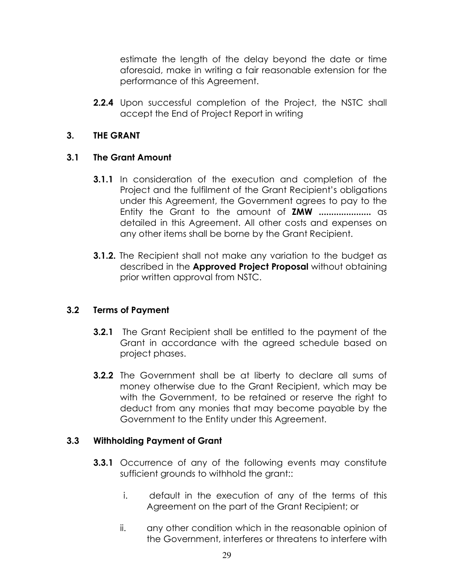estimate the length of the delay beyond the date or time aforesaid, make in writing a fair reasonable extension for the performance of this Agreement.

**2.2.4** Upon successful completion of the Project, the NSTC shall accept the End of Project Report in writing

#### 3. THE GRANT

#### 3.1 The Grant Amount

- **3.1.1** In consideration of the execution and completion of the Project and the fulfilment of the Grant Recipient's obligations under this Agreement, the Government agrees to pay to the Entity the Grant to the amount of **ZMW** ...................... as detailed in this Agreement. All other costs and expenses on any other items shall be borne by the Grant Recipient.
- **3.1.2.** The Recipient shall not make any variation to the budget as described in the **Approved Project Proposal** without obtaining prior written approval from NSTC.

#### 3.2 Terms of Payment

- **3.2.1** The Grant Recipient shall be entitled to the payment of the Grant in accordance with the agreed schedule based on project phases.
- **3.2.2** The Government shall be at liberty to declare all sums of money otherwise due to the Grant Recipient, which may be with the Government, to be retained or reserve the right to deduct from any monies that may become payable by the Government to the Entity under this Agreement.

#### 3.3 Withholding Payment of Grant

- **3.3.1** Occurrence of any of the following events may constitute sufficient grounds to withhold the grant::
	- i. default in the execution of any of the terms of this Agreement on the part of the Grant Recipient; or
	- ii. any other condition which in the reasonable opinion of the Government, interferes or threatens to interfere with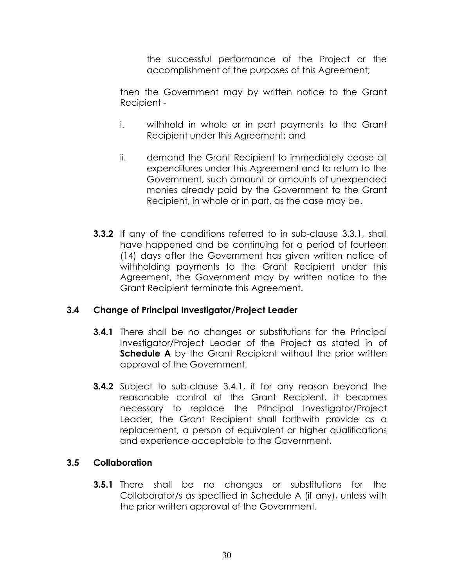the successful performance of the Project or the accomplishment of the purposes of this Agreement;

then the Government may by written notice to the Grant Recipient -

- i. withhold in whole or in part payments to the Grant Recipient under this Agreement; and
- ii. demand the Grant Recipient to immediately cease all expenditures under this Agreement and to return to the Government, such amount or amounts of unexpended monies already paid by the Government to the Grant Recipient, in whole or in part, as the case may be.
- **3.3.2** If any of the conditions referred to in sub-clause 3.3.1, shall have happened and be continuing for a period of fourteen (14) days after the Government has given written notice of withholding payments to the Grant Recipient under this Agreement, the Government may by written notice to the Grant Recipient terminate this Agreement.

#### 3.4 Change of Principal Investigator/Project Leader

- **3.4.1** There shall be no changes or substitutions for the Principal Investigator/Project Leader of the Project as stated in of **Schedule A** by the Grant Recipient without the prior written approval of the Government.
- **3.4.2** Subject to sub-clause 3.4.1, if for any reason beyond the reasonable control of the Grant Recipient, it becomes necessary to replace the Principal Investigator/Project Leader, the Grant Recipient shall forthwith provide as a replacement, a person of equivalent or higher qualifications and experience acceptable to the Government.

#### 3.5 Collaboration

**3.5.1** There shall be no changes or substitutions for the Collaborator/s as specified in Schedule A (if any), unless with the prior written approval of the Government.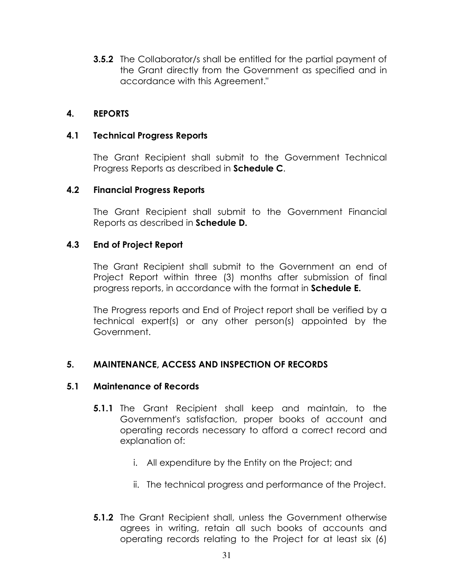**3.5.2** The Collaborator/s shall be entitled for the partial payment of the Grant directly from the Government as specified and in accordance with this Agreement."

#### 4. REPORTS

#### 4.1 Technical Progress Reports

The Grant Recipient shall submit to the Government Technical Progress Reports as described in Schedule C.

#### 4.2 Financial Progress Reports

The Grant Recipient shall submit to the Government Financial Reports as described in Schedule D.

#### 4.3 End of Project Report

The Grant Recipient shall submit to the Government an end of Project Report within three (3) months after submission of final progress reports, in accordance with the format in Schedule E.

The Progress reports and End of Project report shall be verified by a technical expert(s) or any other person(s) appointed by the Government.

#### 5. MAINTENANCE, ACCESS AND INSPECTION OF RECORDS

#### 5.1 Maintenance of Records

- 5.1.1 The Grant Recipient shall keep and maintain, to the Government's satisfaction, proper books of account and operating records necessary to afford a correct record and explanation of:
	- i. All expenditure by the Entity on the Project; and
	- ii. The technical progress and performance of the Project.
- 5.1.2 The Grant Recipient shall, unless the Government otherwise agrees in writing, retain all such books of accounts and operating records relating to the Project for at least six (6)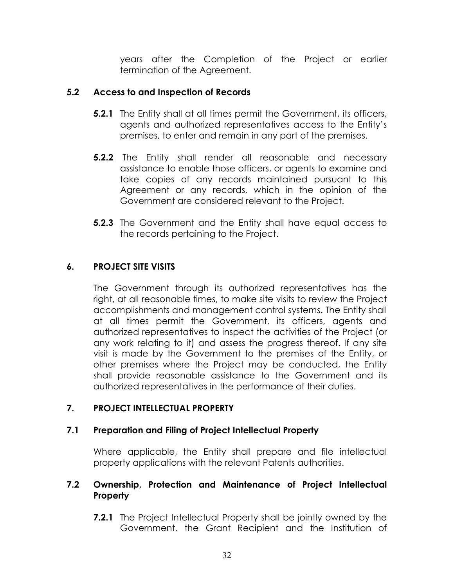years after the Completion of the Project or earlier termination of the Agreement.

#### 5.2 Access to and Inspection of Records

- **5.2.1** The Entity shall at all times permit the Government, its officers, agents and authorized representatives access to the Entity's premises, to enter and remain in any part of the premises.
- **5.2.2** The Entity shall render all reasonable and necessary assistance to enable those officers, or agents to examine and take copies of any records maintained pursuant to this Agreement or any records, which in the opinion of the Government are considered relevant to the Project.
- **5.2.3** The Government and the Entity shall have equal access to the records pertaining to the Project.

#### 6. PROJECT SITE VISITS

 The Government through its authorized representatives has the right, at all reasonable times, to make site visits to review the Project accomplishments and management control systems. The Entity shall at all times permit the Government, its officers, agents and authorized representatives to inspect the activities of the Project (or any work relating to it) and assess the progress thereof. If any site visit is made by the Government to the premises of the Entity, or other premises where the Project may be conducted, the Entity shall provide reasonable assistance to the Government and its authorized representatives in the performance of their duties.

#### 7. PROJECT INTELLECTUAL PROPERTY

#### 7.1 Preparation and Filing of Project Intellectual Property

Where applicable, the Entity shall prepare and file intellectual property applications with the relevant Patents authorities.

#### 7.2 Ownership, Protection and Maintenance of Project Intellectual **Property**

**7.2.1** The Project Intellectual Property shall be jointly owned by the Government, the Grant Recipient and the Institution of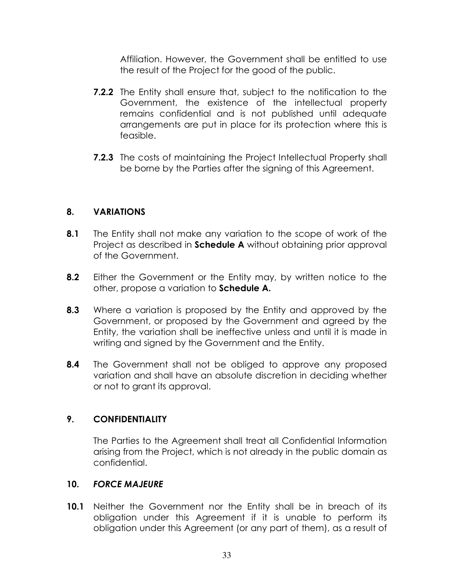Affiliation. However, the Government shall be entitled to use the result of the Project for the good of the public.

- **7.2.2** The Entity shall ensure that, subject to the notification to the Government, the existence of the intellectual property remains confidential and is not published until adequate arrangements are put in place for its protection where this is feasible.
- **7.2.3** The costs of maintaining the Project Intellectual Property shall be borne by the Parties after the signing of this Agreement.

#### 8. VARIATIONS

- 8.1 The Entity shall not make any variation to the scope of work of the Project as described in **Schedule A** without obtaining prior approval of the Government.
- 8.2 Either the Government or the Entity may, by written notice to the other, propose a variation to Schedule A.
- 8.3 Where a variation is proposed by the Entity and approved by the Government, or proposed by the Government and agreed by the Entity, the variation shall be ineffective unless and until it is made in writing and signed by the Government and the Entity.
- **8.4** The Government shall not be obliged to approve any proposed variation and shall have an absolute discretion in deciding whether or not to grant its approval.

#### 9. CONFIDENTIALITY

 The Parties to the Agreement shall treat all Confidential Information arising from the Project, which is not already in the public domain as confidential.

#### 10. FORCE MAJEURE

**10.1** Neither the Government nor the Entity shall be in breach of its obligation under this Agreement if it is unable to perform its obligation under this Agreement (or any part of them), as a result of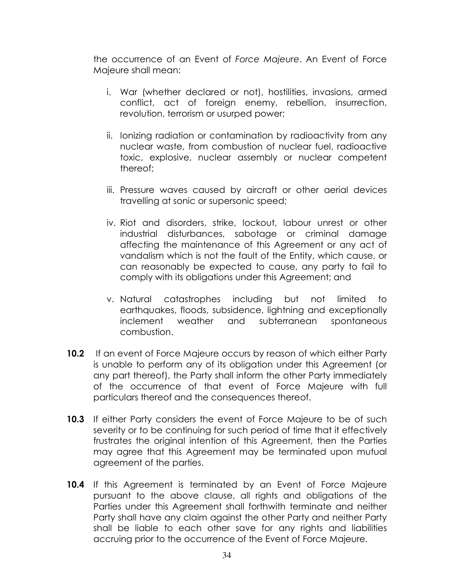the occurrence of an Event of Force Majeure. An Event of Force Majeure shall mean:

- i. War (whether declared or not), hostilities, invasions, armed conflict, act of foreign enemy, rebellion, insurrection, revolution, terrorism or usurped power;
- ii. Ionizing radiation or contamination by radioactivity from any nuclear waste, from combustion of nuclear fuel, radioactive toxic, explosive, nuclear assembly or nuclear competent thereof;
- iii. Pressure waves caused by aircraft or other aerial devices travelling at sonic or supersonic speed;
- iv. Riot and disorders, strike, lockout, labour unrest or other industrial disturbances, sabotage or criminal damage affecting the maintenance of this Agreement or any act of vandalism which is not the fault of the Entity, which cause, or can reasonably be expected to cause, any party to fail to comply with its obligations under this Agreement; and
- v. Natural catastrophes including but not limited to earthquakes, floods, subsidence, lightning and exceptionally inclement weather and subterranean spontaneous combustion.
- 10.2 If an event of Force Majeure occurs by reason of which either Party is unable to perform any of its obligation under this Agreement (or any part thereof), the Party shall inform the other Party immediately of the occurrence of that event of Force Majeure with full particulars thereof and the consequences thereof.
- **10.3** If either Party considers the event of Force Majeure to be of such severity or to be continuing for such period of time that it effectively frustrates the original intention of this Agreement, then the Parties may agree that this Agreement may be terminated upon mutual agreement of the parties.
- 10.4 If this Agreement is terminated by an Event of Force Majeure pursuant to the above clause, all rights and obligations of the Parties under this Agreement shall forthwith terminate and neither Party shall have any claim against the other Party and neither Party shall be liable to each other save for any rights and liabilities accruing prior to the occurrence of the Event of Force Majeure.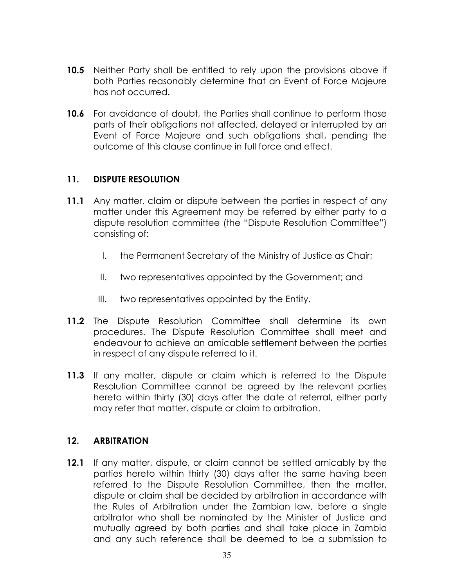- 10.5 Neither Party shall be entitled to rely upon the provisions above if both Parties reasonably determine that an Event of Force Majeure has not occurred.
- **10.6** For avoidance of doubt, the Parties shall continue to perform those parts of their obligations not affected, delayed or interrupted by an Event of Force Majeure and such obligations shall, pending the outcome of this clause continue in full force and effect.

#### 11. DISPUTE RESOLUTION

- 11.1 Any matter, claim or dispute between the parties in respect of any matter under this Agreement may be referred by either party to a dispute resolution committee (the "Dispute Resolution Committee") consisting of:
	- I. the Permanent Secretary of the Ministry of Justice as Chair;
	- II. two representatives appointed by the Government; and
	- III. two representatives appointed by the Entity.
- 11.2 The Dispute Resolution Committee shall determine its own procedures. The Dispute Resolution Committee shall meet and endeavour to achieve an amicable settlement between the parties in respect of any dispute referred to it.
- 11.3 If any matter, dispute or claim which is referred to the Dispute Resolution Committee cannot be agreed by the relevant parties hereto within thirty (30) days after the date of referral, either party may refer that matter, dispute or claim to arbitration.

#### 12. ARBITRATION

12.1 If any matter, dispute, or claim cannot be settled amicably by the parties hereto within thirty (30) days after the same having been referred to the Dispute Resolution Committee, then the matter, dispute or claim shall be decided by arbitration in accordance with the Rules of Arbitration under the Zambian law, before a single arbitrator who shall be nominated by the Minister of Justice and mutually agreed by both parties and shall take place in Zambia and any such reference shall be deemed to be a submission to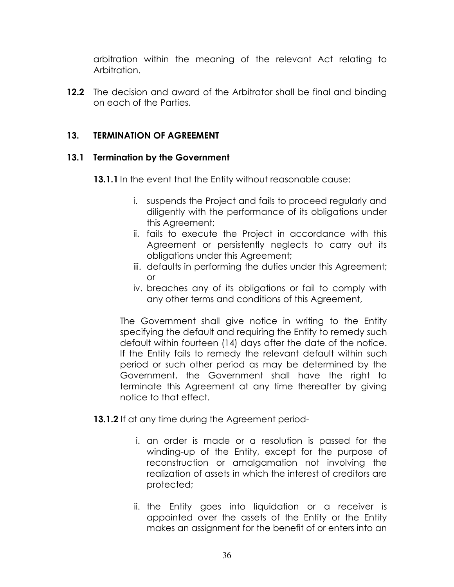arbitration within the meaning of the relevant Act relating to Arbitration.

12.2 The decision and award of the Arbitrator shall be final and binding on each of the Parties.

#### 13. TERMINATION OF AGREEMENT

#### 13.1 Termination by the Government

13.1.1 In the event that the Entity without reasonable cause:

- i. suspends the Project and fails to proceed regularly and diligently with the performance of its obligations under this Agreement;
- ii. fails to execute the Project in accordance with this Agreement or persistently neglects to carry out its obligations under this Agreement;
- iii. defaults in performing the duties under this Agreement; or
- iv. breaches any of its obligations or fail to comply with any other terms and conditions of this Agreement,

The Government shall give notice in writing to the Entity specifying the default and requiring the Entity to remedy such default within fourteen (14) days after the date of the notice. If the Entity fails to remedy the relevant default within such period or such other period as may be determined by the Government, the Government shall have the right to terminate this Agreement at any time thereafter by giving notice to that effect.

- **13.1.2** If at any time during the Agreement period
	- i. an order is made or a resolution is passed for the winding-up of the Entity, except for the purpose of reconstruction or amalgamation not involving the realization of assets in which the interest of creditors are protected;
	- ii. the Entity goes into liquidation or a receiver is appointed over the assets of the Entity or the Entity makes an assignment for the benefit of or enters into an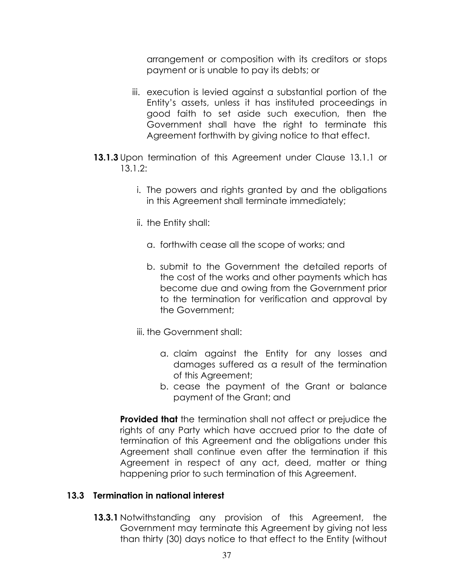arrangement or composition with its creditors or stops payment or is unable to pay its debts; or

- iii. execution is levied against a substantial portion of the Entity's assets, unless it has instituted proceedings in good faith to set aside such execution, then the Government shall have the right to terminate this Agreement forthwith by giving notice to that effect.
- 13.1.3 Upon termination of this Agreement under Clause 13.1.1 or 13.1.2:
	- i. The powers and rights granted by and the obligations in this Agreement shall terminate immediately;
	- ii. the Entity shall:
		- a. forthwith cease all the scope of works; and
		- b. submit to the Government the detailed reports of the cost of the works and other payments which has become due and owing from the Government prior to the termination for verification and approval by the Government;
	- iii. the Government shall:
		- a. claim against the Entity for any losses and damages suffered as a result of the termination of this Agreement;
		- b. cease the payment of the Grant or balance payment of the Grant; and

**Provided that** the termination shall not affect or prejudice the rights of any Party which have accrued prior to the date of termination of this Agreement and the obligations under this Agreement shall continue even after the termination if this Agreement in respect of any act, deed, matter or thing happening prior to such termination of this Agreement.

#### 13.3 Termination in national interest

**13.3.1** Notwithstanding any provision of this Agreement, the Government may terminate this Agreement by giving not less than thirty (30) days notice to that effect to the Entity (without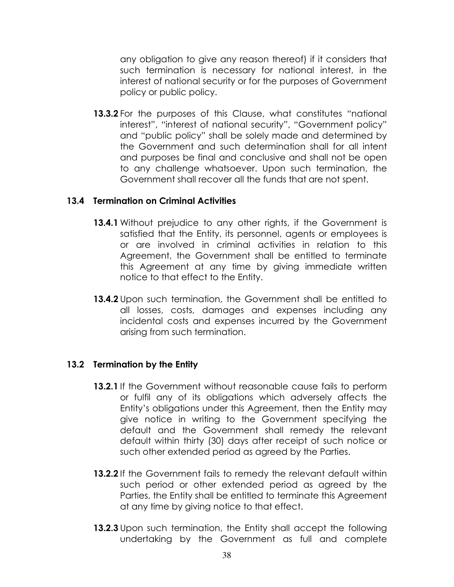any obligation to give any reason thereof) if it considers that such termination is necessary for national interest, in the interest of national security or for the purposes of Government policy or public policy.

13.3.2 For the purposes of this Clause, what constitutes "national interest", "interest of national security", "Government policy" and "public policy" shall be solely made and determined by the Government and such determination shall for all intent and purposes be final and conclusive and shall not be open to any challenge whatsoever. Upon such termination, the Government shall recover all the funds that are not spent.

#### 13.4 Termination on Criminal Activities

- 13.4.1 Without prejudice to any other rights, if the Government is satisfied that the Entity, its personnel, agents or employees is or are involved in criminal activities in relation to this Agreement, the Government shall be entitled to terminate this Agreement at any time by giving immediate written notice to that effect to the Entity.
- 13.4.2 Upon such termination, the Government shall be entitled to all losses, costs, damages and expenses including any incidental costs and expenses incurred by the Government arising from such termination.

#### 13.2 Termination by the Entity

- 13.2.1 If the Government without reasonable cause fails to perform or fulfil any of its obligations which adversely affects the Entity's obligations under this Agreement, then the Entity may give notice in writing to the Government specifying the default and the Government shall remedy the relevant default within thirty (30) days after receipt of such notice or such other extended period as agreed by the Parties.
- 13.2.2 If the Government fails to remedy the relevant default within such period or other extended period as agreed by the Parties, the Entity shall be entitled to terminate this Agreement at any time by giving notice to that effect.
- **13.2.3** Upon such termination, the Entity shall accept the following undertaking by the Government as full and complete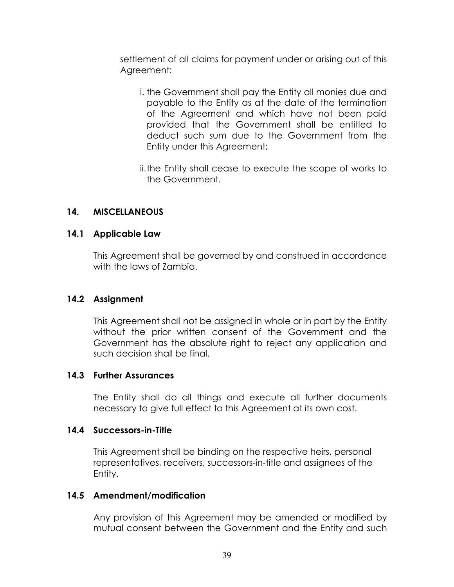settlement of all claims for payment under or arising out of this Agreement:

- i. the Government shall pay the Entity all monies due and payable to the Entity as at the date of the termination of the Agreement and which have not been paid provided that the Government shall be entitled to deduct such sum due to the Government from the Entity under this Agreement;
- ii.the Entity shall cease to execute the scope of works to the Government.

#### 14. MISCELLANEOUS

#### 14.1 Applicable Law

This Agreement shall be governed by and construed in accordance with the laws of Zambia.

#### 14.2 Assignment

This Agreement shall not be assigned in whole or in part by the Entity without the prior written consent of the Government and the Government has the absolute right to reject any application and such decision shall be final.

#### 14.3 Further Assurances

The Entity shall do all things and execute all further documents necessary to give full effect to this Agreement at its own cost.

#### 14.4 Successors-in-Title

This Agreement shall be binding on the respective heirs, personal representatives, receivers, successors-in-title and assignees of the Entity.

#### 14.5 Amendment/modification

Any provision of this Agreement may be amended or modified by mutual consent between the Government and the Entity and such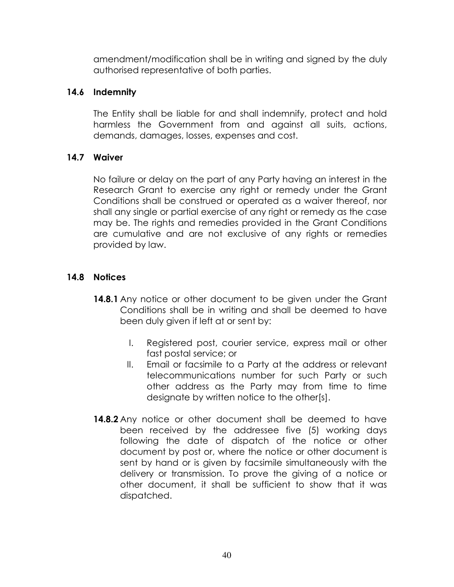amendment/modification shall be in writing and signed by the duly authorised representative of both parties.

#### 14.6 Indemnity

The Entity shall be liable for and shall indemnify, protect and hold harmless the Government from and against all suits, actions, demands, damages, losses, expenses and cost.

#### 14.7 Waiver

No failure or delay on the part of any Party having an interest in the Research Grant to exercise any right or remedy under the Grant Conditions shall be construed or operated as a waiver thereof, nor shall any single or partial exercise of any right or remedy as the case may be. The rights and remedies provided in the Grant Conditions are cumulative and are not exclusive of any rights or remedies provided by law.

#### 14.8 Notices

- 14.8.1 Any notice or other document to be given under the Grant Conditions shall be in writing and shall be deemed to have been duly given if left at or sent by:
	- I. Registered post, courier service, express mail or other fast postal service; or
	- II. Email or facsimile to a Party at the address or relevant telecommunications number for such Party or such other address as the Party may from time to time designate by written notice to the other[s].
- **14.8.2** Any notice or other document shall be deemed to have been received by the addressee five (5) working days following the date of dispatch of the notice or other document by post or, where the notice or other document is sent by hand or is given by facsimile simultaneously with the delivery or transmission. To prove the giving of a notice or other document, it shall be sufficient to show that it was dispatched.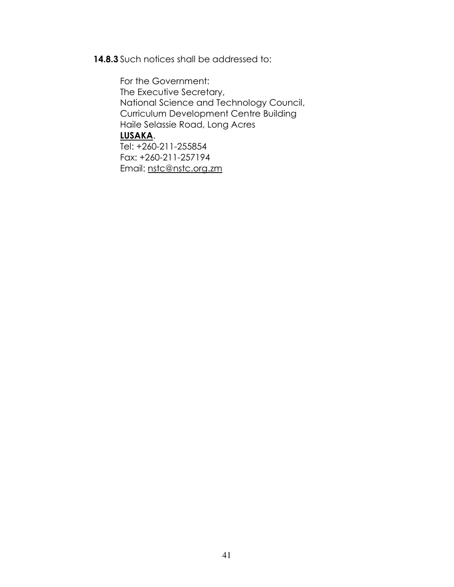14.8.3 Such notices shall be addressed to:

For the Government: The Executive Secretary, National Science and Technology Council, Curriculum Development Centre Building Haile Selassie Road, Long Acres LUSAKA. Tel: +260-211-255854 Fax: +260-211-257194 Email: nstc@nstc.org.zm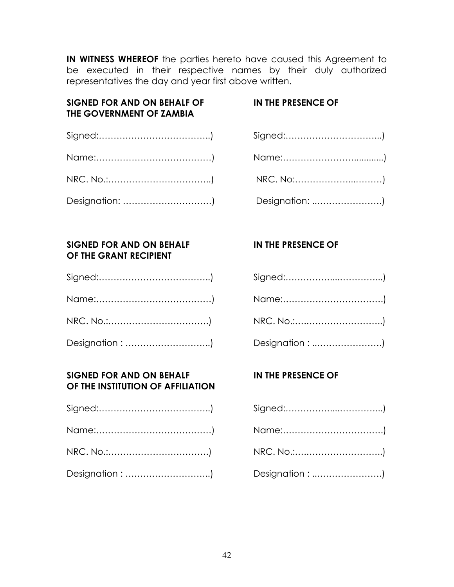IN WITNESS WHEREOF the parties hereto have caused this Agreement to be executed in their respective names by their duly authorized representatives the day and year first above written.

#### SIGNED FOR AND ON BEHALF OF IN THE PRESENCE OF THE GOVERNMENT OF ZAMBIA

#### SIGNED FOR AND ON BEHALF IN THE PRESENCE OF OF THE GRANT RECIPIENT

#### SIGNED FOR AND ON BEHALF IN THE PRESENCE OF OF THE INSTITUTION OF AFFILIATION

| Designation: ) |
|----------------|

| NRC. No.:)      |
|-----------------|
| Designation : ) |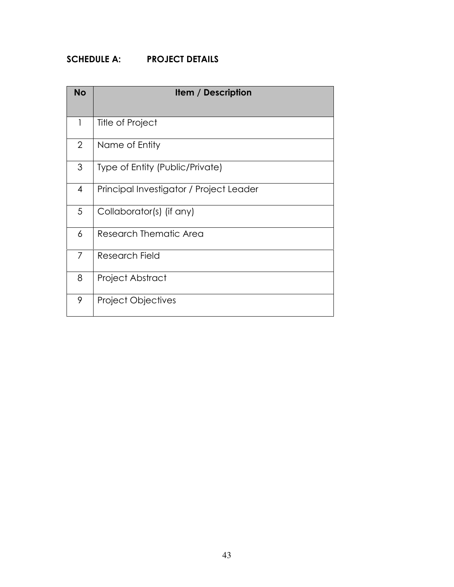## SCHEDULE A: PROJECT DETAILS

| <b>No</b>      | <b>Item / Description</b>               |
|----------------|-----------------------------------------|
| 1              | Title of Project                        |
| $\overline{2}$ | Name of Entity                          |
| 3              | Type of Entity (Public/Private)         |
| $\overline{4}$ | Principal Investigator / Project Leader |
| 5              | Collaborator(s) (if any)                |
| 6              | Research Thematic Area                  |
| 7              | Research Field                          |
| 8              | Project Abstract                        |
| 9              | <b>Project Objectives</b>               |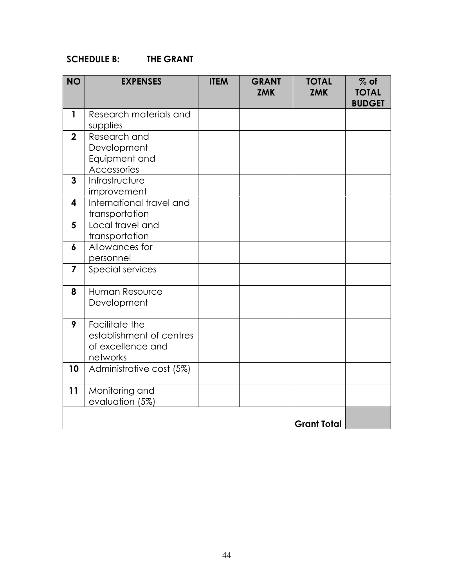#### SCHEDULE B: THE GRANT

| <b>NO</b>               | <b>EXPENSES</b>                                                             | <b>ITEM</b> | <b>GRANT</b><br><b>ZMK</b> | <b>TOTAL</b><br><b>ZMK</b> | $%$ of<br><b>TOTAL</b><br><b>BUDGET</b> |
|-------------------------|-----------------------------------------------------------------------------|-------------|----------------------------|----------------------------|-----------------------------------------|
| $\mathbf{1}$            | Research materials and<br>supplies                                          |             |                            |                            |                                         |
| $\overline{2}$          | Research and<br>Development<br>Equipment and<br>Accessories                 |             |                            |                            |                                         |
| 3                       | Infrastructure<br>improvement                                               |             |                            |                            |                                         |
| $\overline{\mathbf{4}}$ | International travel and<br>transportation                                  |             |                            |                            |                                         |
| 5                       | Local travel and<br>transportation                                          |             |                            |                            |                                         |
| $\boldsymbol{6}$        | Allowances for<br>personnel                                                 |             |                            |                            |                                         |
| $\overline{7}$          | Special services                                                            |             |                            |                            |                                         |
| 8                       | Human Resource<br>Development                                               |             |                            |                            |                                         |
| 9                       | Facilitate the<br>establishment of centres<br>of excellence and<br>networks |             |                            |                            |                                         |
| 10                      | Administrative cost (5%)                                                    |             |                            |                            |                                         |
| 11                      | Monitoring and<br>evaluation (5%)                                           |             |                            |                            |                                         |
|                         |                                                                             |             |                            | <b>Grant Total</b>         |                                         |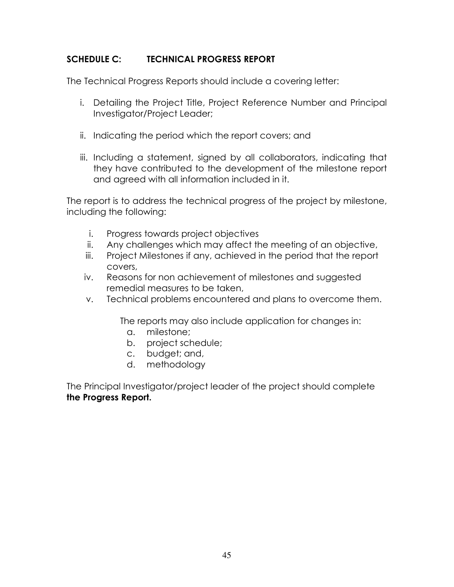#### SCHEDULE C: TECHNICAL PROGRESS REPORT

The Technical Progress Reports should include a covering letter:

- i. Detailing the Project Title, Project Reference Number and Principal Investigator/Project Leader;
- ii. Indicating the period which the report covers; and
- iii. Including a statement, signed by all collaborators, indicating that they have contributed to the development of the milestone report and agreed with all information included in it.

The report is to address the technical progress of the project by milestone, including the following:

- i. Progress towards project objectives
- ii. Any challenges which may affect the meeting of an objective,
- iii. Project Milestones if any, achieved in the period that the report covers,
- iv. Reasons for non achievement of milestones and suggested remedial measures to be taken,
- v. Technical problems encountered and plans to overcome them.

The reports may also include application for changes in:

- a. milestone;
- b. project schedule;
- c. budget; and,
- d. methodology

The Principal Investigator/project leader of the project should complete the Progress Report.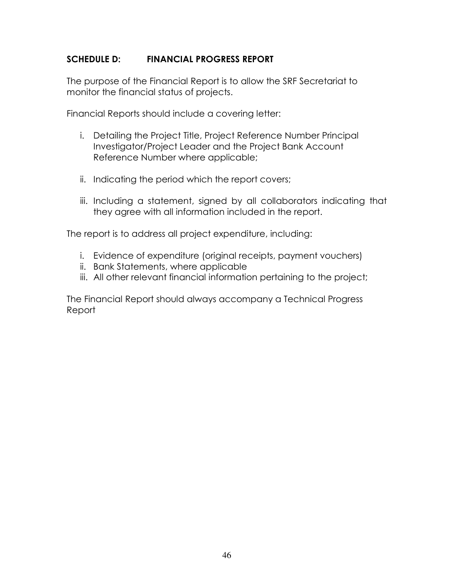#### SCHEDULE D: FINANCIAL PROGRESS REPORT

The purpose of the Financial Report is to allow the SRF Secretariat to monitor the financial status of projects.

Financial Reports should include a covering letter:

- i. Detailing the Project Title, Project Reference Number Principal Investigator/Project Leader and the Project Bank Account Reference Number where applicable;
- ii. Indicating the period which the report covers;
- iii. Including a statement, signed by all collaborators indicating that they agree with all information included in the report.

The report is to address all project expenditure, including:

- i. Evidence of expenditure (original receipts, payment vouchers)
- ii. Bank Statements, where applicable
- iii. All other relevant financial information pertaining to the project;

The Financial Report should always accompany a Technical Progress Report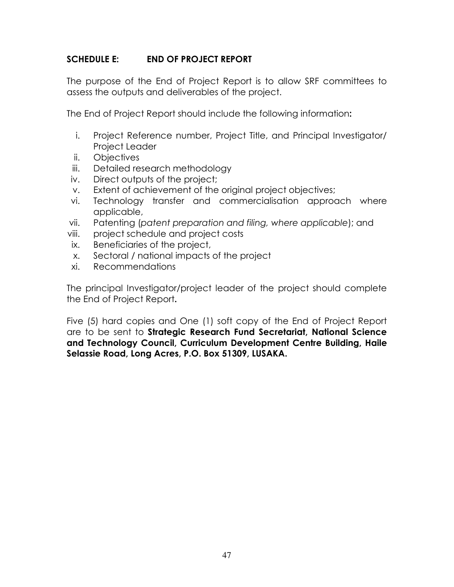#### SCHEDULE E: END OF PROJECT REPORT

The purpose of the End of Project Report is to allow SRF committees to assess the outputs and deliverables of the project.

The End of Project Report should include the following information:

- i. Project Reference number, Project Title, and Principal Investigator/ Project Leader
- ii. Objectives
- iii. Detailed research methodology
- iv. Direct outputs of the project;
- v. Extent of achievement of the original project objectives;
- vi. Technology transfer and commercialisation approach where applicable,
- vii. Patenting (patent preparation and filing, where applicable); and
- viii. project schedule and project costs
- ix. Beneficiaries of the project,
- x. Sectoral / national impacts of the project
- xi. Recommendations

The principal Investigator/project leader of the project should complete the End of Project Report.

Five (5) hard copies and One (1) soft copy of the End of Project Report are to be sent to Strategic Research Fund Secretariat, National Science and Technology Council, Curriculum Development Centre Building, Haile Selassie Road, Long Acres, P.O. Box 51309, LUSAKA.